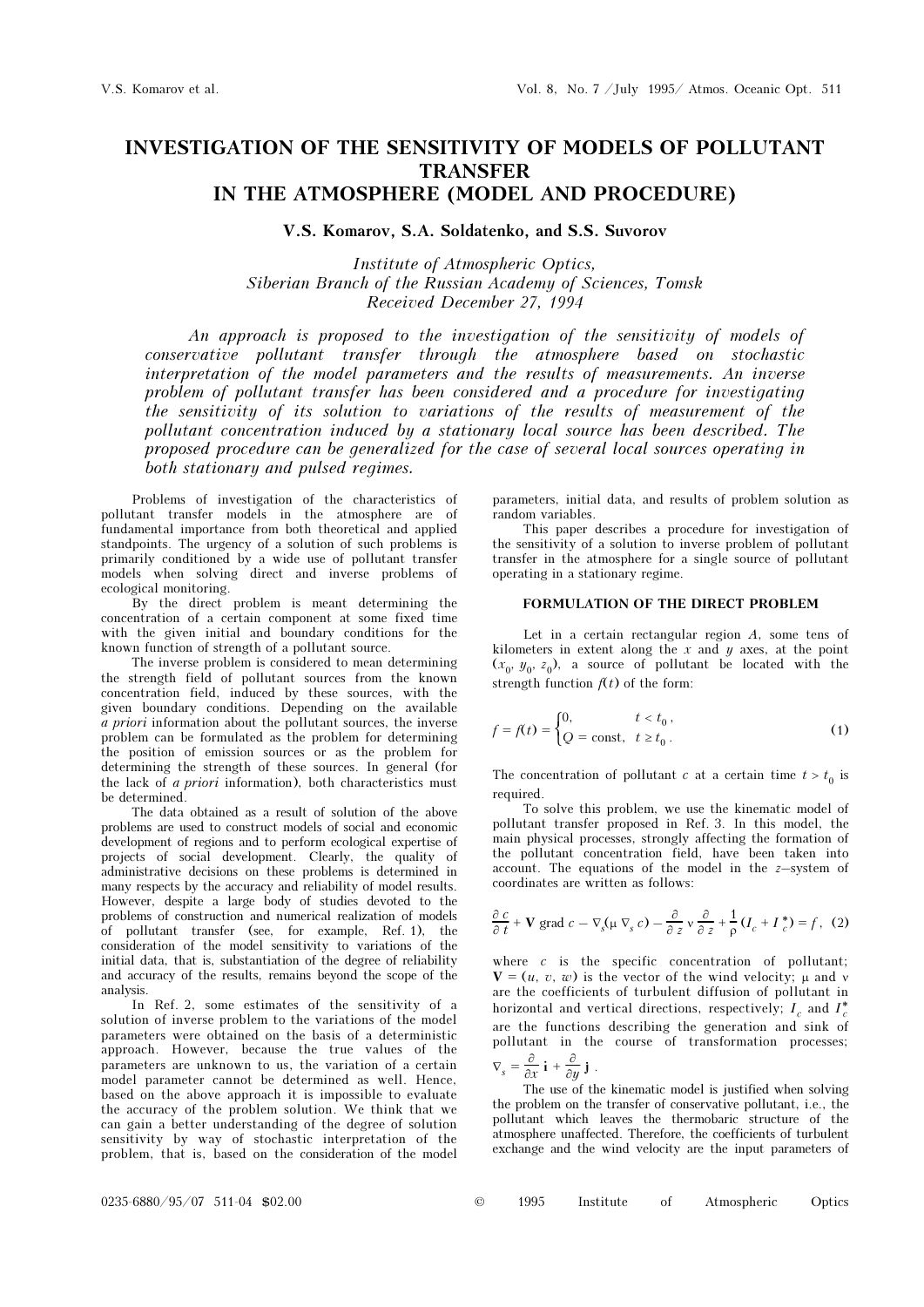# INVESTIGATION OF THE SENSITIVITY OF MODELS OF POLLUTANT TRANSFER IN THE ATMOSPHERE (MODEL AND PROCEDURE)

V.S. Komarov, S.A. Soldatenko, and S.S. Suvorov

Institute of Atmospheric Optics, Siberian Branch of the Russian Academy of Sciences, Tomsk Received December 27, 1994

An approach is proposed to the investigation of the sensitivity of models of conservative pollutant transfer through the atmosphere based on stochastic interpretation of the model parameters and the results of measurements. An inverse problem of pollutant transfer has been considered and a procedure for investigating the sensitivity of its solution to variations of the results of measurement of the pollutant concentration induced by a stationary local source has been described. The proposed procedure can be generalized for the case of several local sources operating in both stationary and pulsed regimes.

Problems of investigation of the characteristics of pollutant transfer models in the atmosphere are of fundamental importance from both theoretical and applied standpoints. The urgency of a solution of such problems is primarily conditioned by a wide use of pollutant transfer models when solving direct and inverse problems of ecological monitoring.

By the direct problem is meant determining the concentration of a certain component at some fixed time with the given initial and boundary conditions for the known function of strength of a pollutant source.

The inverse problem is considered to mean determining the strength field of pollutant sources from the known concentration field, induced by these sources, with the given boundary conditions. Depending on the available  $a$  priori information about the pollutant sources, the inverse problem can be formulated as the problem for determining the position of emission sources or as the problem for determining the strength of these sources. In general (for the lack of a priori information), both characteristics must be determined.

The data obtained as a result of solution of the above problems are used to construct models of social and economic development of regions and to perform ecological expertise of projects of social development. Clearly, the quality of administrative decisions on these problems is determined in many respects by the accuracy and reliability of model results. However, despite a large body of studies devoted to the problems of construction and numerical realization of models of pollutant transfer (see, for example, Ref. 1), the consideration of the model sensitivity to variations of the initial data, that is, substantiation of the degree of reliability and accuracy of the results, remains beyond the scope of the analysis.

In Ref. 2, some estimates of the sensitivity of a solution of inverse problem to the variations of the model parameters were obtained on the basis of a deterministic approach. However, because the true values of the parameters are unknown to us, the variation of a certain model parameter cannot be determined as well. Hence, based on the above approach it is impossible to evaluate the accuracy of the problem solution. We think that we can gain a better understanding of the degree of solution sensitivity by way of stochastic interpretation of the problem, that is, based on the consideration of the model parameters, initial data, and results of problem solution as random variables.

This paper describes a procedure for investigation of the sensitivity of a solution to inverse problem of pollutant transfer in the atmosphere for a single source of pollutant operating in a stationary regime.

# FORMULATION OF THE DIRECT PROBLEM

Let in a certain rectangular region  $A$ , some tens of kilometers in extent along the  $x$  and  $y$  axes, at the point  $(x_0, y_0, z_0)$ , a source of pollutant be located with the strength function  $f(t)$  of the form:

$$
f = f(t) = \begin{cases} 0, & t < t_0, \\ Q = \text{const}, & t \ge t_0. \end{cases} \tag{1}
$$

The concentration of pollutant c at a certain time  $t > t_0$  is required.

To solve this problem, we use the kinematic model of pollutant transfer proposed in Ref. 3. In this model, the main physical processes, strongly affecting the formation of the pollutant concentration field, have been taken into  $\alpha$  account. The equations of the model in the *z*-system of coordinates are written as follows:

$$
\frac{\partial c}{\partial t} + \mathbf{V} \text{ grad } c - \nabla_s (\mu \nabla_s c) - \frac{\partial}{\partial z} \mathbf{v} \frac{\partial}{\partial z} + \frac{1}{\rho} (I_c + I_c^*) = f, (2)
$$

where  $c$  is the specific concentration of pollutant;  $V = (u, v, w)$  is the vector of the wind velocity;  $\mu$  and  $\nu$ are the coefficients of turbulent diffusion of pollutant in horizontal and vertical directions, respectively;  $I_c$  and  $I_c^*$ are the functions describing the generation and sink of pollutant in the course of transformation processes;  $\nabla_s = \frac{\partial}{\partial x} \mathbf{i} + \frac{\partial}{\partial y} \mathbf{j}$ .

The use of the kinematic model is justified when solving the problem on the transfer of conservative pollutant, i.e., the pollutant which leaves the thermobaric structure of the atmosphere unaffected. Therefore, the coefficients of turbulent exchange and the wind velocity are the input parameters of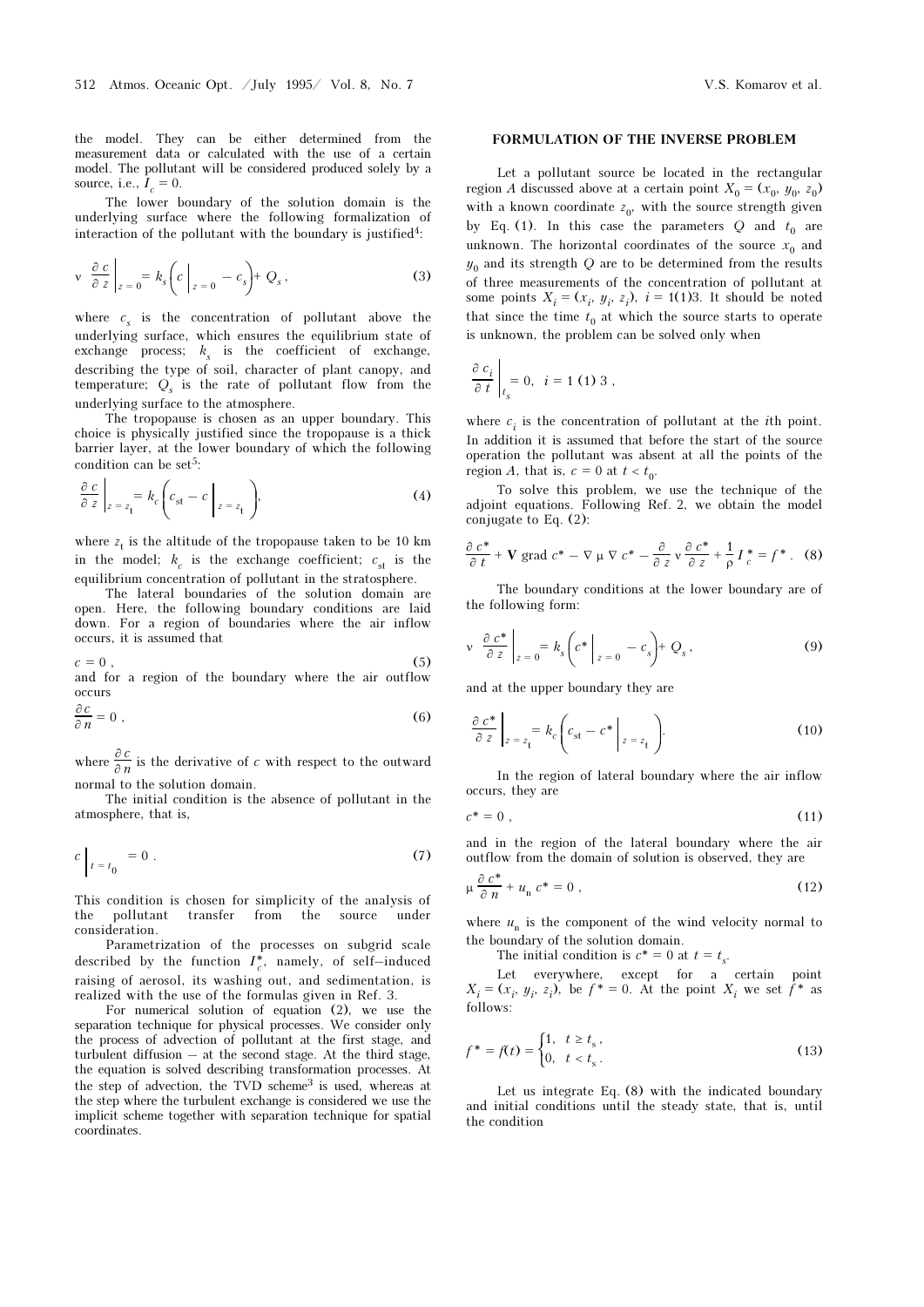the model. They can be either determined from the measurement data or calculated with the use of a certain model. The pollutant will be considered produced solely by a source, i.e.,  $I_c = 0$ .

The lower boundary of the solution domain is the underlying surface where the following formalization of interaction of the pollutant with the boundary is justified<sup>4</sup>:

$$
\left| \begin{array}{cc} v & \frac{\partial c}{\partial z} \\ z & = 0 \end{array} \right|_{z=0} = k_s \left( c \Big|_{z=0} - c_s \right) + Q_s \,, \tag{3}
$$

where  $c_s$  is the concentration of pollutant above the underlying surface, which ensures the equilibrium state of exchange process;  $k_s$  is the coefficient of exchange, describing the type of soil, character of plant canopy, and temperature;  $Q_s$  is the rate of pollutant flow from the underlying surface to the atmosphere.

The tropopause is chosen as an upper boundary. This choice is physically justified since the tropopause is a thick barrier layer, at the lower boundary of which the following condition can be set<sup>5</sup>:

$$
\left. \frac{\partial c}{\partial z} \right|_{z=z_{\mathbf{t}}} = k_c \left( c_{\mathbf{st}} - c \right|_{z=z_{\mathbf{t}}} ), \tag{4}
$$

where  $z_{\rm t}$  is the altitude of the tropopause taken to be 10 km in the model;  $k_c$  is the exchange coefficient;  $c_{st}$  is the equilibrium concentration of pollutant in the stratosphere.

The lateral boundaries of the solution domain are open. Here, the following boundary conditions are laid down. For a region of boundaries where the air inflow occurs, it is assumed that

 $c = 0$ , (5) and for a region of the boundary where the air outflow

occurs

$$
\frac{\partial c}{\partial n} = 0 \tag{6}
$$

where  $\frac{\partial c}{\partial n}$  is the derivative of c with respect to the outward normal to the solution domain.

The initial condition is the absence of pollutant in the atmosphere, that is,

$$
c \Big|_{t=t_0} = 0 \ . \tag{7}
$$

This condition is chosen for simplicity of the analysis of the pollutant transfer from the source under consideration.

Parametrization of the processes on subgrid scale described by the function  $I_c^*$ , namely, of self-induced raising of aerosol, its washing out, and sedimentation, is realized with the use of the formulas given in Ref. 3.

For numerical solution of equation (2), we use the separation technique for physical processes. We consider only the process of advection of pollutant at the first stage, and turbulent diffusion – at the second stage. At the third stage, the equation is solved describing transformation processes. At the step of advection, the TVD scheme<sup>3</sup> is used, whereas at the step where the turbulent exchange is considered we use the implicit scheme together with separation technique for spatial coordinates.

#### FORMULATION OF THE INVERSE PROBLEM

Let a pollutant source be located in the rectangular region A discussed above at a certain point  $X_0 = (x_0, y_0, z_0)$ with a known coordinate  $z_0$ , with the source strength given by Eq. (1). In this case the parameters Q and  $t_0$  are unknown. The horizontal coordinates of the source  $x_0$  and  $y_0$  and its strength Q are to be determined from the results of three measurements of the concentration of pollutant at some points  $X_i = (x_i, y_i, z_i)$ ,  $i = 1$ (1)3. It should be noted that since the time  $t_0$  at which the source starts to operate is unknown, the problem can be solved only when

$$
\left.\frac{\partial c_i}{\partial t}\right|_{t_s} = 0, \quad i = 1 \text{ (1) 3 ,}
$$

where  $c_i$  is the concentration of pollutant at the *i*th point. In addition it is assumed that before the start of the source operation the pollutant was absent at all the points of the region A, that is,  $c = 0$  at  $t < t_0$ .

To solve this problem, we use the technique of the adjoint equations. Following Ref. 2, we obtain the model conjugate to Eq. (2):

$$
\frac{\partial c^*}{\partial t} + \mathbf{V} \text{ grad } c^* - \nabla \mu \nabla c^* - \frac{\partial}{\partial z} \nu \frac{\partial c^*}{\partial z} + \frac{1}{\rho} I_c^* = f^* \ . \tag{8}
$$

The boundary conditions at the lower boundary are of the following form:

$$
\mathbf{v} \left\| \frac{\partial c^*}{\partial z} \right\|_{z=0} = k_s \left( c^* \bigg|_{z=0} - c_s \right) + Q_s \,, \tag{9}
$$

and at the upper boundary they are

$$
\frac{\partial c^*}{\partial z}\bigg|_{z=z_t} = k_c \bigg(c_{st} - c^* \bigg|_{z=z_t}\bigg). \tag{10}
$$

In the region of lateral boundary where the air inflow occurs, they are

$$
c^* = 0 \tag{11}
$$

and in the region of the lateral boundary where the air outflow from the domain of solution is observed, they are

$$
\mu \frac{\partial c^*}{\partial n} + u_n c^* = 0 , \qquad (12)
$$

where  $u_n$  is the component of the wind velocity normal to the boundary of the solution domain.

The initial condition is  $c^* = 0$  at  $t = t_s$ .

Let everywhere, except for a certain point  $X_i = (x_i, y_i, z_i)$ , be  $f^* = 0$ . At the point  $X_i$  we set  $f^*$  as follows:

$$
f^* = f(t) = \begin{cases} 1, & t \ge t_s, \\ 0, & t < t_s. \end{cases}
$$
\n(13)

Let us integrate Eq. (8) with the indicated boundary and initial conditions until the steady state, that is, until the condition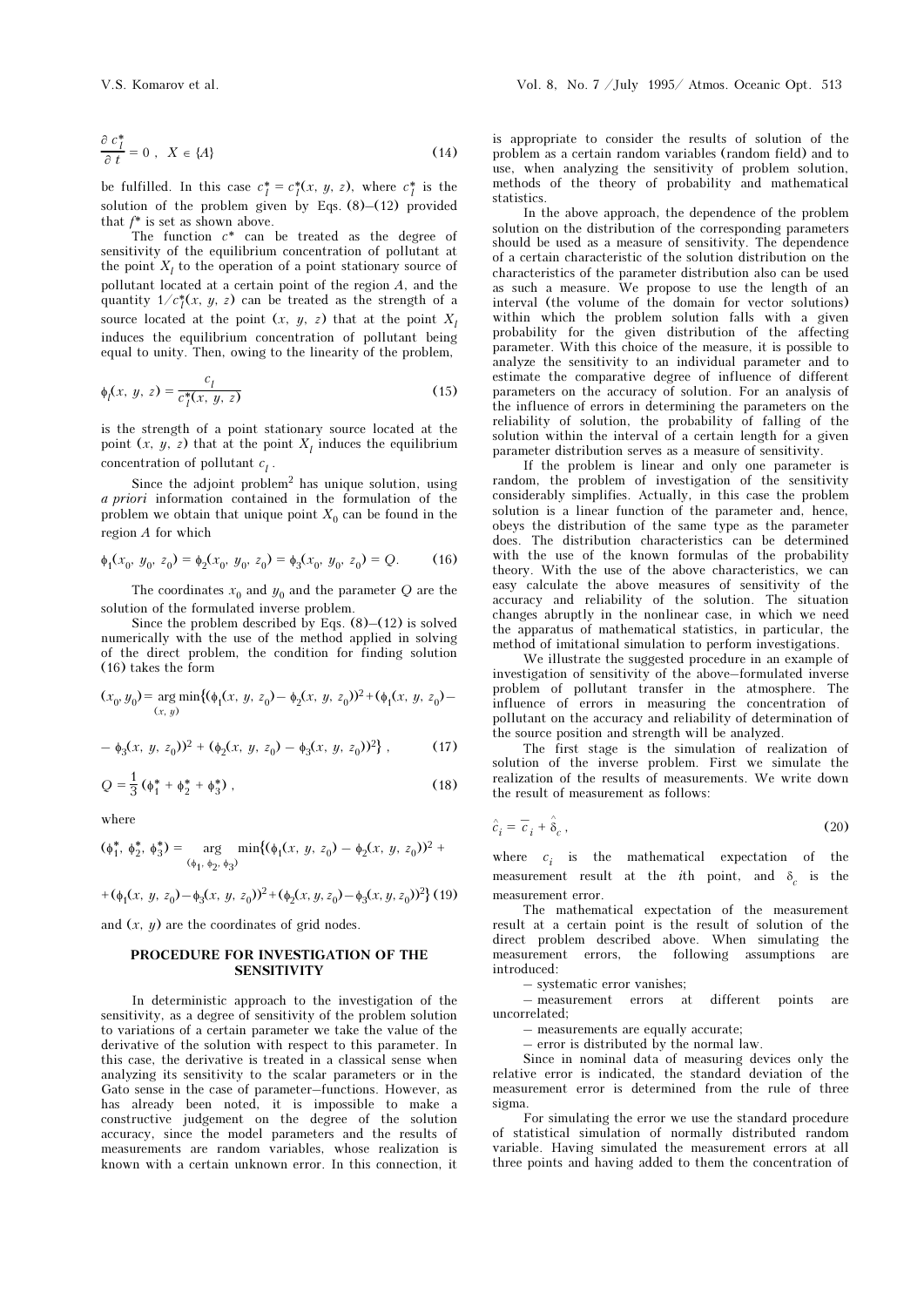be fulfilled. In this case  $c_l^* = c_l^*(x, y, z)$ , where  $c_l^*$  is the solution of the problem given by Eqs. (8)–(12) provided that  $f^*$  is set as shown above.

The function  $c^*$  can be treated as the degree of sensitivity of the equilibrium concentration of pollutant at the point  $X_l$  to the operation of a point stationary source of pollutant located at a certain point of the region A, and the quantity  $1/c_l^*(x, y, z)$  can be treated as the strength of a source located at the point  $(x, y, z)$  that at the point  $X<sub>l</sub>$ induces the equilibrium concentration of pollutant being equal to unity. Then, owing to the linearity of the problem,

$$
\phi_l(x, y, z) = \frac{c_l}{c_l^*(x, y, z)}
$$
\n(15)

is the strength of a point stationary source located at the point  $(x, y, z)$  that at the point  $X<sub>l</sub>$  induces the equilibrium concentration of pollutant  $c_l$ .

Since the adjoint problem<sup>2</sup> has unique solution, using a priori information contained in the formulation of the problem we obtain that unique point  $X_0$  can be found in the region A for which

$$
\phi_1(x_0, y_0, z_0) = \phi_2(x_0, y_0, z_0) = \phi_3(x_0, y_0, z_0) = Q.
$$
 (16)

The coordinates  $x_0$  and  $y_0$  and the parameter Q are the solution of the formulated inverse problem.

Since the problem described by Eqs.  $(8)$ – $(12)$  is solved numerically with the use of the method applied in solving of the direct problem, the condition for finding solution (16) takes the form

$$
(x_0, y_0) = \underset{(x, y)}{\arg \min} \{ (\phi_1(x, y, z_0) - \phi_2(x, y, z_0))^2 + (\phi_1(x, y, z_0) - (\phi_2(x, y, z_0))^2 \}
$$

$$
- \phi_3(x, y, z_0)^2 + (\phi_2(x, y, z_0) - \phi_3(x, y, z_0)^2,
$$
 (17)

$$
Q = \frac{1}{3} \left( \phi_1^* + \phi_2^* + \phi_3^* \right), \tag{18}
$$

where

$$
(\phi_1^*, \phi_2^*, \phi_3^*) = \underset{(\phi_1, \phi_2, \phi_3)}{\arg \min} \{ (\phi_1(x, y, z_0) - \phi_2(x, y, z_0))^2 +
$$

+
$$
(\phi_1(x, y, z_0) - \phi_3(x, y, z_0))^2 + (\phi_2(x, y, z_0) - \phi_3(x, y, z_0))^2
$$
 (19)

and  $(x, y)$  are the coordinates of grid nodes.

## PROCEDURE FOR INVESTIGATION OF THE **SENSITIVITY**

In deterministic approach to the investigation of the sensitivity, as a degree of sensitivity of the problem solution to variations of a certain parameter we take the value of the derivative of the solution with respect to this parameter. In this case, the derivative is treated in a classical sense when analyzing its sensitivity to the scalar parameters or in the Gato sense in the case of parameter–functions. However, as has already been noted, it is impossible to make a constructive judgement on the degree of the solution accuracy, since the model parameters and the results of measurements are random variables, whose realization is known with a certain unknown error. In this connection, it

is appropriate to consider the results of solution of the problem as a certain random variables (random field) and to use, when analyzing the sensitivity of problem solution, methods of the theory of probability and mathematical statistics.

In the above approach, the dependence of the problem solution on the distribution of the corresponding parameters should be used as a measure of sensitivity. The dependence of a certain characteristic of the solution distribution on the characteristics of the parameter distribution also can be used as such a measure. We propose to use the length of an interval (the volume of the domain for vector solutions) within which the problem solution falls with a given probability for the given distribution of the affecting parameter. With this choice of the measure, it is possible to analyze the sensitivity to an individual parameter and to estimate the comparative degree of influence of different parameters on the accuracy of solution. For an analysis of the influence of errors in determining the parameters on the reliability of solution, the probability of falling of the solution within the interval of a certain length for a given parameter distribution serves as a measure of sensitivity.

If the problem is linear and only one parameter is random, the problem of investigation of the sensitivity considerably simplifies. Actually, in this case the problem solution is a linear function of the parameter and, hence, obeys the distribution of the same type as the parameter does. The distribution characteristics can be determined with the use of the known formulas of the probability theory. With the use of the above characteristics, we can easy calculate the above measures of sensitivity of the accuracy and reliability of the solution. The situation changes abruptly in the nonlinear case, in which we need the apparatus of mathematical statistics, in particular, the method of imitational simulation to perform investigations.

We illustrate the suggested procedure in an example of investigation of sensitivity of the above–formulated inverse problem of pollutant transfer in the atmosphere. The influence of errors in measuring the concentration of pollutant on the accuracy and reliability of determination of the source position and strength will be analyzed.

The first stage is the simulation of realization of solution of the inverse problem. First we simulate the realization of the results of measurements. We write down the result of measurement as follows:

$$
\hat{c}_i = \overline{c}_i + \hat{\delta}_c, \qquad (20)
$$

where  $c_i$  is the mathematical expectation of the measurement result at the *i*th point, and  $\delta$  is the measurement error.

The mathematical expectation of the measurement result at a certain point is the result of solution of the direct problem described above. When simulating the measurement errors, the following assumptions are introduced:

– systematic error vanishes;

– measurement errors at different points are uncorrelated;

– measurements are equally accurate;

– error is distributed by the normal law.

Since in nominal data of measuring devices only the relative error is indicated, the standard deviation of the measurement error is determined from the rule of three sigma.

For simulating the error we use the standard procedure of statistical simulation of normally distributed random variable. Having simulated the measurement errors at all three points and having added to them the concentration of